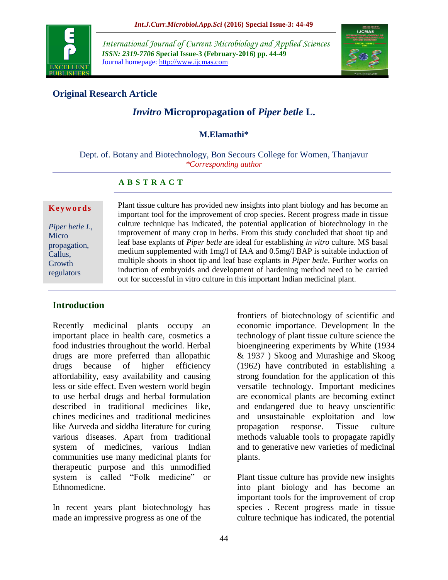

*International Journal of Current Microbiology and Applied Sciences ISSN: 2319-7706* **Special Issue-3 (February-2016) pp. 44-49** Journal homepage: http://www.ijcmas.com



# **Original Research Article**

# *Invitro* **Micropropagation of** *Piper betle* **L.**

#### **M.Elamathi\***

Dept. of. Botany and Biotechnology, Bon Secours College for Women, Thanjavur *\*Corresponding author*

#### **A B S T R A C T**

#### **K e y w o r d s**

*Piper betle L,*  Micro propagation, Callus, **Growth** regulators

Plant tissue culture has provided new insights into plant biology and has become an important tool for the improvement of crop species. Recent progress made in tissue culture technique has indicated, the potential application of biotechnology in the improvement of many crop in herbs. From this study concluded that shoot tip and leaf base explants of *Piper betle* are ideal for establishing *in vitro* culture. MS basal medium supplemented with 1mg/l of IAA and 0.5mg/l BAP is suitable induction of multiple shoots in shoot tip and leaf base explants in *Piper betle*. Further works on induction of embryoids and development of hardening method need to be carried out for successful in vitro culture in this important Indian medicinal plant.

# **Introduction**

Recently medicinal plants occupy an important place in health care, cosmetics a food industries throughout the world. Herbal drugs are more preferred than allopathic drugs because of higher efficiency affordability, easy availability and causing less or side effect. Even western world begin to use herbal drugs and herbal formulation described in traditional medicines like, chines medicines and traditional medicines like Aurveda and siddha literature for curing various diseases. Apart from traditional system of medicines, various Indian communities use many medicinal plants for therapeutic purpose and this unmodified system is called "Folk medicine" or Ethnomedicne.

In recent years plant biotechnology has made an impressive progress as one of the

frontiers of biotechnology of scientific and economic importance. Development In the technology of plant tissue culture science the bioengineering experiments by White (1934 & 1937 ) Skoog and Murashige and Skoog (1962) have contributed in establishing a strong foundation for the application of this versatile technology. Important medicines are economical plants are becoming extinct and endangered due to heavy unscientific and unsustainable exploitation and low propagation response. Tissue culture methods valuable tools to propagate rapidly and to generative new varieties of medicinal plants.

Plant tissue culture has provide new insights into plant biology and has become an important tools for the improvement of crop species . Recent progress made in tissue culture technique has indicated, the potential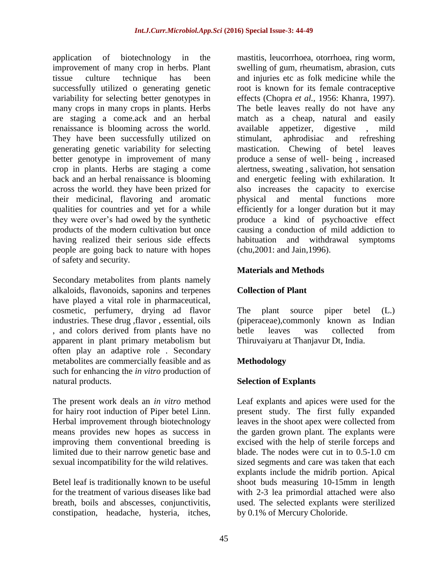application of biotechnology in the improvement of many crop in herbs. Plant tissue culture technique has been successfully utilized o generating genetic variability for selecting better genotypes in many crops in many crops in plants. Herbs are staging a come.ack and an herbal renaissance is blooming across the world. They have been successfully utilized on generating genetic variability for selecting better genotype in improvement of many crop in plants. Herbs are staging a come back and an herbal renaissance is blooming across the world. they have been prized for their medicinal, flavoring and aromatic qualities for countries and yet for a while they were over's had owed by the synthetic products of the modern cultivation but once having realized their serious side effects people are going back to nature with hopes of safety and security.

Secondary metabolites from plants namely alkaloids, flavonoids, saponins and terpenes have played a vital role in pharmaceutical, cosmetic, perfumery, drying ad flavor industries. These drug ,flavor , essential, oils , and colors derived from plants have no apparent in plant primary metabolism but often play an adaptive role . Secondary metabolites are commercially feasible and as such for enhancing the *in vitro* production of natural products.

The present work deals an *in vitro* method for hairy root induction of Piper betel Linn. Herbal improvement through biotechnology means provides new hopes as success in improving them conventional breeding is limited due to their narrow genetic base and sexual incompatibility for the wild relatives.

Betel leaf is traditionally known to be useful for the treatment of various diseases like bad breath, boils and abscesses, conjunctivitis, constipation, headache, hysteria, itches,

mastitis, leucorrhoea, otorrhoea, ring worm, swelling of gum, rheumatism, abrasion, cuts and injuries etc as folk medicine while the root is known for its female contraceptive effects (Chopra *et al.,* 1956: Khanra, 1997). The betle leaves really do not have any match as a cheap, natural and easily available appetizer, digestive , mild stimulant, aphrodisiac and refreshing mastication. Chewing of betel leaves produce a sense of well- being , increased alertness, sweating , salivation, hot sensation and energetic feeling with exhilaration. It also increases the capacity to exercise physical and mental functions more efficiently for a longer duration but it may produce a kind of psychoactive effect causing a conduction of mild addiction to habituation and withdrawal symptoms (chu,2001: and Jain,1996).

# **Materials and Methods**

# **Collection of Plant**

The plant source piper betel (L.) (piperaceae),commonly known as Indian betle leaves was collected from Thiruvaiyaru at Thanjavur Dt, India.

# **Methodology**

# **Selection of Explants**

Leaf explants and apices were used for the present study. The first fully expanded leaves in the shoot apex were collected from the garden grown plant. The explants were excised with the help of sterile forceps and blade. The nodes were cut in to 0.5-1.0 cm sized segments and care was taken that each explants include the midrib portion. Apical shoot buds measuring 10-15mm in length with 2-3 lea primordial attached were also used. The selected explants were sterilized by 0.1% of Mercury Choloride.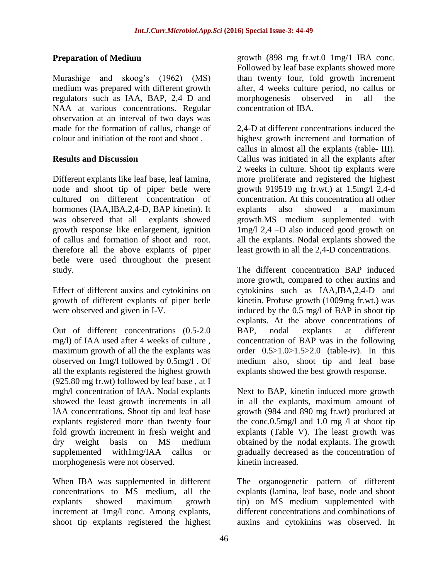# **Preparation of Medium**

Murashige and skoog's (1962) (MS) medium was prepared with different growth regulators such as IAA, BAP, 2,4 D and NAA at various concentrations. Regular observation at an interval of two days was made for the formation of callus, change of colour and initiation of the root and shoot .

# **Results and Discussion**

Different explants like leaf base, leaf lamina, node and shoot tip of piper betle were cultured on different concentration of hormones (IAA,IBA,2,4-D, BAP kinetin). It was observed that all explants showed growth response like enlargement, ignition of callus and formation of shoot and root. therefore all the above explants of piper betle were used throughout the present study.

Effect of different auxins and cytokinins on growth of different explants of piper betle were observed and given in I-V.

Out of different concentrations (0.5-2.0 mg/l) of IAA used after 4 weeks of culture , maximum growth of all the the explants was observed on 1mg/l followed by 0.5mg/l . Of all the explants registered the highest growth (925.80 mg fr.wt) followed by leaf base , at I mgh/l concentration of IAA. Nodal explants showed the least growth increments in all IAA concentrations. Shoot tip and leaf base explants registered more than twenty four fold growth increment in fresh weight and dry weight basis on MS medium supplemented with1mg/IAA callus or morphogenesis were not observed.

When IBA was supplemented in different concentrations to MS medium, all the explants showed maximum growth increment at 1mg/l conc. Among explants, shoot tip explants registered the highest

growth (898 mg fr.wt.0 1mg/1 IBA conc. Followed by leaf base explants showed more than twenty four, fold growth increment after, 4 weeks culture period, no callus or morphogenesis observed in all the concentration of IBA.

2,4-D at different concentrations induced the highest growth increment and formation of callus in almost all the explants (table- III). Callus was initiated in all the explants after 2 weeks in culture. Shoot tip explants were more proliferate and registered the highest growth 919519 mg fr.wt.) at 1.5mg/l 2,4-d concentration. At this concentration all other explants also showed a maximum growth.MS medium supplemented with 1mg/l 2,4 –D also induced good growth on all the explants. Nodal explants showed the least growth in all the 2,4-D concentrations.

The different concentration BAP induced more growth, compared to other auxins and cytokinins such as IAA,IBA,2,4-D and kinetin. Profuse growth (1009mg fr.wt.) was induced by the 0.5 mg/l of BAP in shoot tip explants. At the above concentrations of BAP, nodal explants at different concentration of BAP was in the following order 0.5>1.0>1.5>2.0 (table-iv). In this medium also, shoot tip and leaf base explants showed the best growth response.

Next to BAP, kinetin induced more growth in all the explants, maximum amount of growth (984 and 890 mg fr.wt) produced at the conc.0.5mg/l and 1.0 mg  $\Lambda$  at shoot tip explants (Table V). The least growth was obtained by the nodal explants. The growth gradually decreased as the concentration of kinetin increased.

The organogenetic pattern of different explants (lamina, leaf base, node and shoot tip) on MS medium supplemented with different concentrations and combinations of auxins and cytokinins was observed. In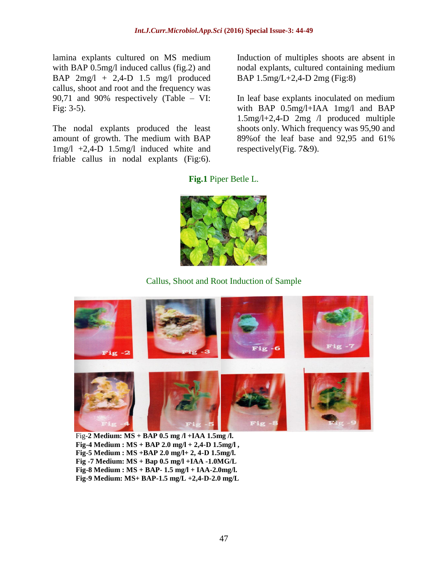lamina explants cultured on MS medium with BAP 0.5mg/l induced callus (fig.2) and BAP 2mg/l + 2,4-D 1.5 mg/l produced callus, shoot and root and the frequency was 90,71 and 90% respectively (Table – VI: Fig: 3-5).

The nodal explants produced the least amount of growth. The medium with BAP 1mg/l +2,4-D 1.5mg/l induced white and friable callus in nodal explants (Fig:6).

Induction of multiples shoots are absent in nodal explants, cultured containing medium BAP 1.5mg/L+2,4-D 2mg (Fig:8)

In leaf base explants inoculated on medium with BAP 0.5mg/l+IAA 1mg/l and BAP 1.5mg/l+2,4-D 2mg /l produced multiple shoots only. Which frequency was 95,90 and 89%of the leaf base and 92,95 and 61% respectively(Fig. 7&9).

**Fig.1** Piper Betle L.



Callus, Shoot and Root Induction of Sample



Fig-**2 Medium: MS + BAP 0.5 mg /l +IAA 1.5mg /l. Fig-4 Medium : MS + BAP 2.0 mg/l + 2,4-D 1.5mg/l , Fig-5 Medium : MS +BAP 2.0 mg/l+ 2, 4-D 1.5mg/l. Fig -7 Medium: MS + Bap 0.5 mg/l +IAA -1.0MG/L Fig-8 Medium : MS + BAP- 1.5 mg/l + IAA-2.0mg/l. Fig-9 Medium: MS+ BAP-1.5 mg/L +2,4-D-2.0 mg/L**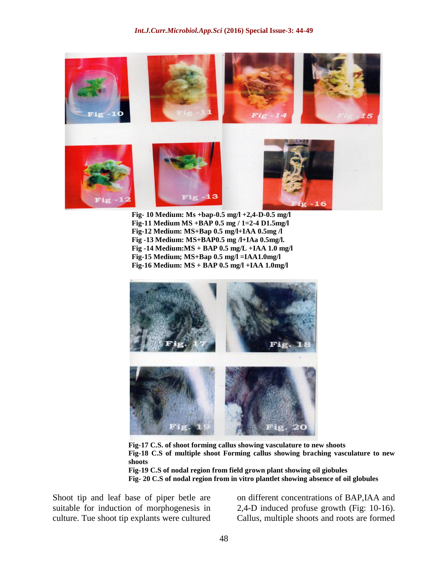

**Fig- 10 Medium: Ms +bap-0.5 mg/l +2,4-D-0.5 mg/l Fig-11 Medium MS +BAP 0.5 mg / 1=2-4 D1.5mg/l Fig-12 Medium: MS+Bap 0.5 mg/l+IAA 0.5mg /l Fig -13 Medium: MS+BAP0.5 mg /l+IAa 0.5mg/l. Fig -14 Medium:MS + BAP 0.5 mg/L +IAA 1.0 mg/l Fig-15 Medium; MS+Bap 0.5 mg/l =IAA1.0mg/l Fig-16 Medium: MS + BAP 0.5 mg/l +IAA 1.0mg/l**



**Fig-17 C.S. of shoot forming callus showing vasculature to new shoots Fig-18 C.S of multiple shoot Forming callus showing braching vasculature to new shoots Fig-19 C.S of nodal region from field grown plant showing oil giobules Fig- 20 C.S of nodal region from in vitro plantlet showing absence of oil globules**

Shoot tip and leaf base of piper betle are suitable for induction of morphogenesis in culture. Tue shoot tip explants were cultured

on different concentrations of BAP,IAA and 2,4-D induced profuse growth (Fig: 10-16). Callus, multiple shoots and roots are formed